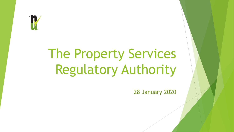

# The Property Services Regulatory Authority

28 January 2020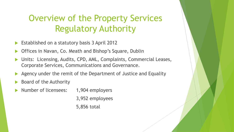## Overview of the Property Services Regulatory Authority

- Established on a statutory basis 3 April 2012
- Offices in Navan, Co. Meath and Bishop's Square, Dublin
- Units: Licensing, Audits, CPD, AML, Complaints, Commercial Leases, Corporate Services, Communications and Governance.
- Agency under the remit of the Department of Justice and Equality
- Board of the Authority
- Number of licensees: 1,904 employers

3,952 employees 5,856 total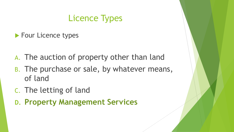## Licence Types

- **Four Licence types**
- A. The auction of property other than land
- B. The purchase or sale, by whatever means, of land
- C. The letting of land
- **D. Property Management Services**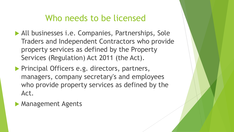#### Who needs to be licensed

- All businesses i.e. Companies, Partnerships, Sole Traders and Independent Contractors who provide property services as defined by the Property Services (Regulation) Act 2011 (the Act).
- **Principal Officers e.g. directors, partners,** managers, company secretary's and employees who provide property services as defined by the Act.
- **Management Agents**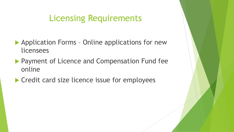#### Licensing Requirements

- ▶ Application Forms Online applications for new licensees
- **Payment of Licence and Compensation Fund fee** online
- ▶ Credit card size licence issue for employees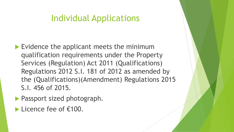#### Individual Applications

- Evidence the applicant meets the minimum qualification requirements under the Property Services (Regulation) Act 2011 (Qualifications) Regulations 2012 S.I. 181 of 2012 as amended by the (Qualifications)(Amendment) Regulations 2015 S.I. 456 of 2015.
- **Passport sized photograph.**
- Licence fee of €100.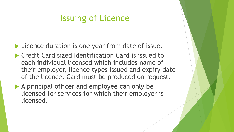#### Issuing of Licence

**Licence duration is one year from date of issue.** 

- ▶ Credit Card sized Identification Card is issued to each individual licensed which includes name of their employer, licence types issued and expiry date of the licence. Card must be produced on request.
- A principal officer and employee can only be licensed for services for which their employer is licensed.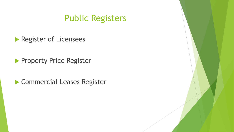#### Public Registers

Register of Licensees

**Property Price Register** 

Commercial Leases Register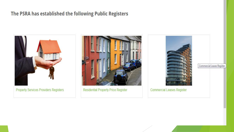#### The PSRA has established the following Public Registers



**Property Services Providers Registers** 



**Residential Property Price Register** 



**Commercial Leases Register** 

Commercial Leases Register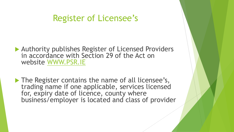#### Register of Licensee's

▶ Authority publishes Register of Licensed Providers in accordance with Section 29 of the Act on website [WWW.PSR.IE](http://www.psr.ie/)

The Register contains the name of all licensee's, trading name if one applicable, services licensed for, expiry date of licence, county where business/employer is located and class of provider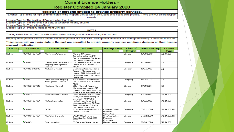#### **Current Licence Holders -**

#### Register Compiled 24 January 2020

#### Register of persons entitled to provide property services.

"Licence Type" in the far right column relates to the Property Service which the Licensee is licensed to provide. There are four different types, namely:

Licence Type A - The Auction of Property other than Land Licence Type B - The Purchase or Sale, by whatever means, of Land

Licence Type C - The Letting of land

Licence Type D - Property Management Services

**NOTES** 

The legal definition of "land" is wide and includes buildings or structures of any kind on land.

Property Management Services means the management of a Multi-Unit Development on behalf of a Management Body. It does not mean the

\*\*Licensees with an expiry date in the past are permitted to provide property services pending a decision on their licence renewal application.

| <b>County</b> | <b>Licence No</b> | <b>Licensee Details</b>        | <b>Address</b>                                      | <b>Trading Name</b>      | <b>Class of</b> | <b>Licence Expiry</b> | Licence                             |
|---------------|-------------------|--------------------------------|-----------------------------------------------------|--------------------------|-----------------|-----------------------|-------------------------------------|
|               |                   |                                | $\overline{\phantom{a}}$                            | $\overline{\phantom{a}}$ | Provide $\sim$  |                       | <b>Type</b> $\mathbf{\overline{*}}$ |
| <b>Dublin</b> | 004005-007559     | Mr. Jerome O'Connor            | Mansard Property                                    |                          | Director        | 10/01/2020**          | [BI[CI][D]                          |
|               |                   |                                | Consultants Limited 131                             |                          |                 |                       |                                     |
|               |                   |                                | Booterstown Ave Blackrock                           |                          |                 |                       |                                     |
|               |                   |                                | Co. Dublin A94XN24                                  |                          |                 |                       |                                     |
| Dublin        | 004012            | Cambridge Construction &       | :   51 Hollybrook Road Clontarf                     |                          | Company         | 12/07/2020            | [D]                                 |
|               |                   | Property Management            | Dublin 3 Co. Dublin D03                             |                          |                 |                       |                                     |
|               |                   | Limited                        | <b>HP78</b>                                         |                          |                 |                       |                                     |
| Dublin        | 004012-007592     | Mr. Liam O Farrell             | Cambridge Construction &                            |                          | Director        | 12/07/2020            | [D]                                 |
|               |                   |                                | Property Management                                 |                          |                 |                       |                                     |
|               |                   |                                | Limited 51 Hollybrook Road                          |                          |                 |                       |                                     |
|               |                   |                                | Clontarf Dublin 3 Co. Dublin                        |                          |                 |                       |                                     |
|               |                   |                                | D03 HP78                                            |                          |                 |                       |                                     |
| <b>Dublin</b> | 004032            | Dillon Marshall Property       | 212 Harolds Cross Harolds                           |                          | Company         | 17/01/2021            | [D]                                 |
|               |                   | Management Limited             | Cross Road, Co. Dublin D6W                          |                          |                 |                       |                                     |
|               |                   |                                | AE10                                                |                          |                 |                       |                                     |
| Dublin        | 004032-007615     | Mr. Adam Marshall              | <b>Dillon Marshall Property</b>                     |                          | Director        | 17/01/2021            | [D]                                 |
|               |                   |                                | Management Limited 212                              |                          |                 |                       |                                     |
|               |                   |                                | Harolds Cross Harolds Cross                         |                          |                 |                       |                                     |
|               |                   |                                | Road, Co. Dublin D6W AE10                           |                          |                 |                       |                                     |
| Dublin        | 004033            | <b>Farley Property Limited</b> | Lioscarron House, 32 Dale                           |                          | Company         | 10/05/2020            | [A],[B],[C]                         |
|               |                   |                                | Road, Kilmacud Stillorgan                           |                          |                 |                       |                                     |
|               |                   |                                | Co. Dublin A94 V6F2                                 |                          |                 | 10/05/2020            |                                     |
| Dublin        | 004033-007631     | Mr. Graham Farley              | <b>Farley Property Limited</b>                      |                          | Director        |                       | [A][B][C]                           |
|               |                   |                                | Lioscarron House, 32 Dale                           |                          |                 |                       |                                     |
|               |                   |                                | Road, Kilmacud Stillorgan                           |                          |                 |                       |                                     |
| <b>Dublin</b> | 004040            | <b>CCEM</b>                    | Co. Dublin A34 W318<br>3 Castlemoyne Balgriffin Co. | Christine Cullen         | Company         | 07/02/2020            | [AL[BL[CL[D]]]                      |
|               |                   |                                | Dublin D13 R796                                     | Property                 |                 |                       |                                     |
|               |                   |                                |                                                     | Consulting               |                 |                       |                                     |
| <b>Dublin</b> | 004040-007651     | Mrs. Christine Cullen.         | CCEM 3 Castlemoune                                  | Christine Cullen         | Director        | 07/02/2020            | [AL[BL[Cl,ID]]                      |
|               |                   |                                | Balgriffin Co. Dublin D13                           | Property                 |                 |                       |                                     |
|               |                   |                                | <b>B796</b>                                         | Consultina               |                 |                       |                                     |
| <b>Dublin</b> | 004043            | One Living Ltd                 | 65 Georges Street Upper                             | Haines Home              | Company         | 26/04/2020            | [A],[B],[C]                         |
|               |                   |                                |                                                     |                          |                 |                       |                                     |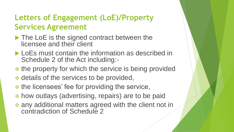#### **Letters of Engagement (LoE)/Property Services Agreement**

- The LoE is the signed contract between the licensee and their client
- **LoEs must contain the information as described in** Schedule 2 of the Act including:-
- $\div$  the property for which the service is being provided
- \* details of the services to be provided,
- $\div$  **the licensees' fee for providing the service,**
- how outlays (advertising, repairs) are to be paid
- any additional matters agreed with the client not in contradiction of Schedule 2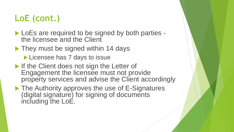## **LoE (cont.)**

- LoEs are required to be signed by both parties the licensee and the Client
- ▶ They must be signed within 14 days
	- Licensee has 7 days to issue
- If the Client does not sign the Letter of Engagement the licensee must not provide property services and advise the Client accordingly
- ▶ The Authority approves the use of E-Signatures (digital signature) for signing of documents including the LoE.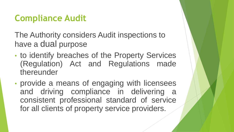## **Compliance Audit**

The Authority considers Audit inspections to have a dual purpose

- to identify breaches of the Property Services (Regulation) Act and Regulations made thereunder
- provide a means of engaging with licensees and driving compliance in delivering a consistent professional standard of service for all clients of property service providers.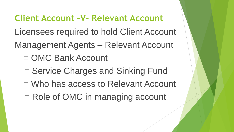#### **Client Account –V- Relevant Account**

Licensees required to hold Client Account

Management Agents – Relevant Account

- = OMC Bank Account
- = Service Charges and Sinking Fund
- = Who has access to Relevant Account
- = Role of OMC in managing account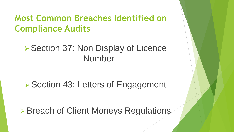### **Most Common Breaches Identified on Compliance Audits**

### ▶ Section 37: Non Display of Licence Number

#### ▶ Section 43: Letters of Engagement

▶ Breach of Client Moneys Regulations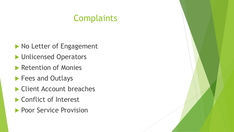### **Complaints**

- Mo Letter of Engagement
- **Indicensed Operators**
- **Retention of Monies**
- **Fees and Outlays**
- ▶ Client Account breaches
- ▶ Conflict of Interest
- **Poor Service Provision**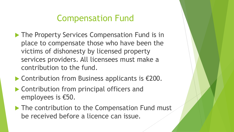### Compensation Fund

- **The Property Services Compensation Fund is in** place to compensate those who have been the victims of dishonesty by licensed property services providers. All licensees must make a contribution to the fund.
- ▶ Contribution from Business applicants is €200.
- ▶ Contribution from principal officers and employees is €50.
- ▶ The contribution to the Compensation Fund must be received before a licence can issue.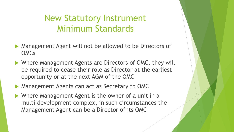#### New Statutory Instrument Minimum Standards

- Management Agent will not be allowed to be Directors of OMCs
- ▶ Where Management Agents are Directors of OMC, they will be required to cease their role as Director at the earliest opportunity or at the next AGM of the OMC
- **Management Agents can act as Secretary to OMC**
- Where Management Agent is the owner of a unit in a multi-development complex, in such circumstances the Management Agent can be a Director of its OMC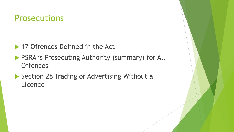#### Prosecutions

- ▶ 17 Offences Defined in the Act
- **PSRA is Prosecuting Authority (summary) for All Offences**
- Section 28 Trading or Advertising Without a **Licence**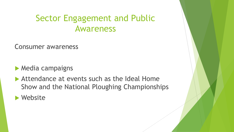#### Sector Engagement and Public Awareness

Consumer awareness

 $\blacktriangleright$  Media campaigns

Attendance at events such as the Ideal Home Show and the National Ploughing Championships

Website